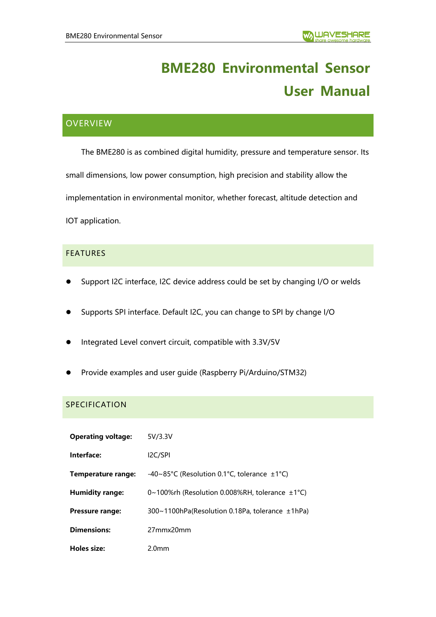# **BME280 Environmental Sensor User Manual**

# **OVERVIEW**

The BME280 is as combined digital humidity, pressure and temperature sensor. Its small dimensions, low power consumption, high precision and stability allow the implementation in environmental monitor, whether forecast, altitude detection and IOT application.

# **FEATURES**

- Support I2C interface, I2C device address could be set by changing I/O or welds
- ⚫ Supports SPI interface. Default I2C, you can change to SPI by change I/O
- ⚫ Integrated Level convert circuit, compatible with 3.3V/5V
- ⚫ Provide examples and user guide (Raspberry Pi/Arduino/STM32)

## SPECIFICATION

| <b>Operating voltage:</b> | 5V/3.3V                                             |
|---------------------------|-----------------------------------------------------|
| Interface:                | I <sub>2</sub> C/SPI                                |
| Temperature range:        | -40~85°C (Resolution 0.1°C, tolerance $\pm$ 1°C)    |
| <b>Humidity range:</b>    | 0~100%rh (Resolution 0.008%RH, tolerance $\pm$ 1°C) |
| <b>Pressure range:</b>    | 300~1100hPa(Resolution 0.18Pa, tolerance ±1hPa)     |
| <b>Dimensions:</b>        | 27mmx20mm                                           |
| Holes size:               | 2.0mm                                               |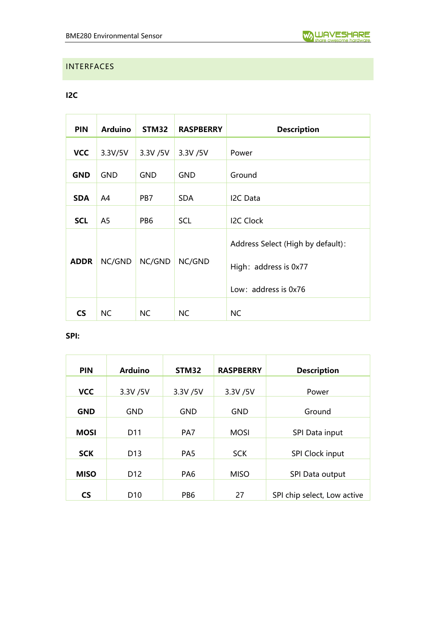# <span id="page-1-0"></span>INTERFACES

# **I2C**

| <b>PIN</b>  | <b>Arduino</b> | STM32           | <b>RASPBERRY</b> | <b>Description</b>                                                                 |
|-------------|----------------|-----------------|------------------|------------------------------------------------------------------------------------|
| <b>VCC</b>  | 3.3V/5V        | 3.3V /5V        | 3.3V /5V         | Power                                                                              |
| <b>GND</b>  | <b>GND</b>     | <b>GND</b>      | <b>GND</b>       | Ground                                                                             |
| <b>SDA</b>  | A4             | PB7             | SDA.             | I2C Data                                                                           |
| <b>SCL</b>  | A5             | PB <sub>6</sub> | <b>SCL</b>       | <b>I2C Clock</b>                                                                   |
| <b>ADDR</b> | NC/GND         | NC/GND          | NC/GND           | Address Select (High by default):<br>High: address is 0x77<br>Low: address is 0x76 |
| <b>CS</b>   | <b>NC</b>      | <b>NC</b>       | <b>NC</b>        | <b>NC</b>                                                                          |

# **SPI:**

| <b>PIN</b>  | <b>Arduino</b>  | STM32           | <b>RASPBERRY</b> | <b>Description</b>          |
|-------------|-----------------|-----------------|------------------|-----------------------------|
| <b>VCC</b>  | 3.3V /5V        | 3.3V /5V        | 3.3V /5V         | Power                       |
| <b>GND</b>  | <b>GND</b>      | <b>GND</b>      | <b>GND</b>       | Ground                      |
| <b>MOSI</b> | D <sub>11</sub> | PA7             | <b>MOSI</b>      | SPI Data input              |
| <b>SCK</b>  | D <sub>13</sub> | PA <sub>5</sub> | <b>SCK</b>       | SPI Clock input             |
| <b>MISO</b> | D <sub>12</sub> | PA <sub>6</sub> | <b>MISO</b>      | SPI Data output             |
| <b>CS</b>   | D <sub>10</sub> | PB <sub>6</sub> | 27               | SPI chip select, Low active |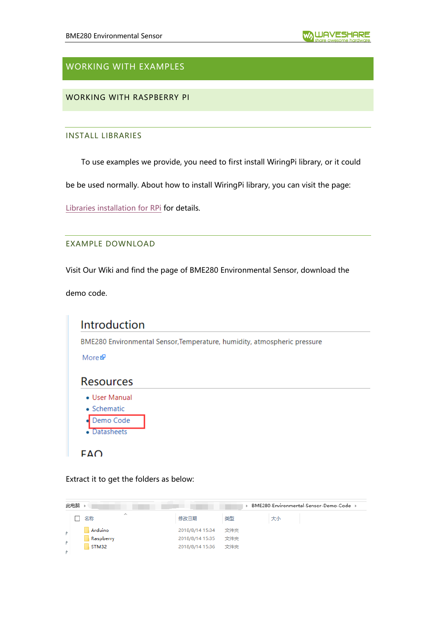# WORKING WITH EXAMPLES

WORKING WITH RASPBERRY PI

#### INSTALL LIBRARIES

To use examples we provide, you need to first install WiringPi library, or it could

be be used normally. About how to install WiringPi library, you can visit the page:

[Libraries installation for RPi](https://www.waveshare.com/wiki/Libraries_Installation_for_RPi) for details.

#### EXAMPLE DOWNLOAD

Visit Our Wiki and find the page of BME280 Environmental Sensor, download the

demo code.

|                              | BME280 Environmental Sensor, Temperature, humidity, atmospheric pressure |
|------------------------------|--------------------------------------------------------------------------|
| More @                       |                                                                          |
| <b>Resources</b>             |                                                                          |
| • User Manual<br>• Schematic |                                                                          |
| Demo Code<br>Datasheets      |                                                                          |

Extract it to get the folders as below:

|    | 此电脑       | BME280-Environmental-Sensor-Demo-Code → |     |    |  |  |  |  |
|----|-----------|-----------------------------------------|-----|----|--|--|--|--|
|    | ∧<br>名称   | 修改日期                                    | 类型  | 大小 |  |  |  |  |
|    | Arduino   | 2018/8/14 15:34                         | 文件夹 |    |  |  |  |  |
| ÷. | Raspberry | 2018/8/14 15:35                         | 文件夹 |    |  |  |  |  |
|    | STM32     | 2018/8/14 15:36                         | 文件夹 |    |  |  |  |  |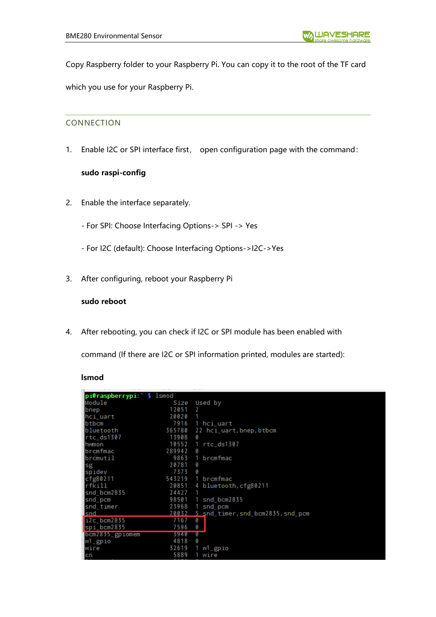Copy Raspberry folder to your Raspberry Pi. You can copy it to the root of the TF card which you use for your Raspberry Pi.

# CONNECTION

1. Enable I2C or SPI interface first, open configuration page with the command:

## **sudo raspi-config**

- 2. Enable the interface separately.
	- For SPI: Choose Interfacing Options-> SPI -> Yes
	- For I2C (default): Choose Interfacing Options->I2C->Yes
- 3. After configuring, reboot your Raspberry Pi

# **sudo reboot**

4. After rebooting, you can check if I2C or SPI module has been enabled with

command (If there are I2C or SPI information printed, modules are started):

#### **lsmod**

| Module               | Size                                                                                                                    | Used by                               |
|----------------------|-------------------------------------------------------------------------------------------------------------------------|---------------------------------------|
|                      | 12051                                                                                                                   | 2                                     |
|                      | 20020                                                                                                                   |                                       |
| btbcm                | 7916                                                                                                                    | 1 hci_uart                            |
| bluetooth            | 365780                                                                                                                  | 22 hci_uart, bnep, btbcm              |
| rtc_ds1307           | 13908                                                                                                                   | ø                                     |
|                      | 10552                                                                                                                   | rtc_ds1307                            |
|                      | 289942                                                                                                                  | 0                                     |
| brcmutil             | 9863                                                                                                                    | brcmfmac                              |
|                      | 20781                                                                                                                   | ø                                     |
| spidev               | 7373                                                                                                                    | ø                                     |
| cfg80211             | 543219                                                                                                                  | 1 brcmfmac                            |
| $rf$ kill            | 20851                                                                                                                   | 4 bluetooth, cfg80211                 |
| snd bcm2835          | 24427                                                                                                                   |                                       |
|                      | 98501                                                                                                                   | snd_bcm2835                           |
|                      | 23968                                                                                                                   | snd_pcm                               |
|                      | 70032                                                                                                                   | 5 snd_timer, snd_bcm2835, snd_pcm     |
|                      | 7167                                                                                                                    | 0                                     |
|                      | 7596                                                                                                                    | 0                                     |
| $bcm2835$ $g$ piomem | 7940                                                                                                                    | Ø                                     |
| w1_gpio              | 4818                                                                                                                    | Ø                                     |
| wire                 | 32619                                                                                                                   | $W1$ gp $10$                          |
|                      | 5889                                                                                                                    | wire                                  |
|                      | bnep<br>hci_uart<br>Ihwmon<br>brcmfmac<br>sg<br>snd_pcm<br>snd_timer<br>Isnd<br>i2c_bcm2835<br>spi_bcm2835<br><b>cn</b> | pi@raspberrypi: <sup>~</sup> \$ lsmod |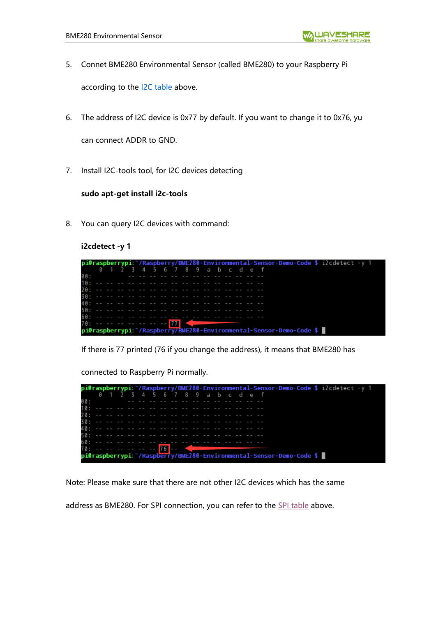- 5. Connet BME280 Environmental Sensor (called BME280) to your Raspberry Pi according to the [I2C table a](#page-1-0)bove.
- 6. The address of I2C device is 0x77 by default. If you want to change it to 0x76, yu can connect ADDR to GND.
- 7. Install I2C-tools tool, for I2C devices detecting

## **sudo apt-get install i2c-tools**

8. You can query I2C devices with command:

## **i2cdetect -y 1**

|     |                                          |  |  |  |  |  |  |  | pi@raspberrypi:~/Raspberry/BME280-Environmental-Sensor-Demo-Code \$ i2cdetect -y 1 |  |  |  |
|-----|------------------------------------------|--|--|--|--|--|--|--|------------------------------------------------------------------------------------|--|--|--|
|     | 0 1 2 3 4 5 6 7 8 9 a b c d e f          |  |  |  |  |  |  |  |                                                                                    |  |  |  |
| 00: |                                          |  |  |  |  |  |  |  |                                                                                    |  |  |  |
|     |                                          |  |  |  |  |  |  |  |                                                                                    |  |  |  |
|     |                                          |  |  |  |  |  |  |  |                                                                                    |  |  |  |
|     |                                          |  |  |  |  |  |  |  |                                                                                    |  |  |  |
|     |                                          |  |  |  |  |  |  |  |                                                                                    |  |  |  |
|     |                                          |  |  |  |  |  |  |  |                                                                                    |  |  |  |
|     |                                          |  |  |  |  |  |  |  |                                                                                    |  |  |  |
|     | 70: -- -- -- -- -- -- -- <mark>77</mark> |  |  |  |  |  |  |  |                                                                                    |  |  |  |
|     |                                          |  |  |  |  |  |  |  | pi@raspberrypi: "/Raspberry/BME280-Environmental-Sensor-Demo-Code \$               |  |  |  |

If there is 77 printed (76 if you change the address), it means that BME280 has

connected to Raspberry Pi normally.

|     |                                          |  |  |  |  |  |  |  | pi@raspberrypi: /Raspberry/BME280-Environmental-Sensor-Demo-Code \$ i2cdetect -y 1 |  |  |  |  |  |
|-----|------------------------------------------|--|--|--|--|--|--|--|------------------------------------------------------------------------------------|--|--|--|--|--|
|     | 0 1 2 3 4 5 6 7 8 9 a b c d e f          |  |  |  |  |  |  |  |                                                                                    |  |  |  |  |  |
| 00: |                                          |  |  |  |  |  |  |  |                                                                                    |  |  |  |  |  |
|     |                                          |  |  |  |  |  |  |  |                                                                                    |  |  |  |  |  |
|     |                                          |  |  |  |  |  |  |  |                                                                                    |  |  |  |  |  |
|     |                                          |  |  |  |  |  |  |  |                                                                                    |  |  |  |  |  |
|     |                                          |  |  |  |  |  |  |  |                                                                                    |  |  |  |  |  |
|     |                                          |  |  |  |  |  |  |  |                                                                                    |  |  |  |  |  |
|     |                                          |  |  |  |  |  |  |  |                                                                                    |  |  |  |  |  |
|     | 70: -- -- -- -- -- -- <mark>76</mark> -- |  |  |  |  |  |  |  |                                                                                    |  |  |  |  |  |
|     |                                          |  |  |  |  |  |  |  | pi@raspberrypi:~/Raspberry/BME280-Environmental-Sensor-Demo-Code \$ 1              |  |  |  |  |  |

Note: Please make sure that there are not other I2C devices which has the same

address as BME280. For SPI connection, you can refer to the [SPI table](#page-1-0) above.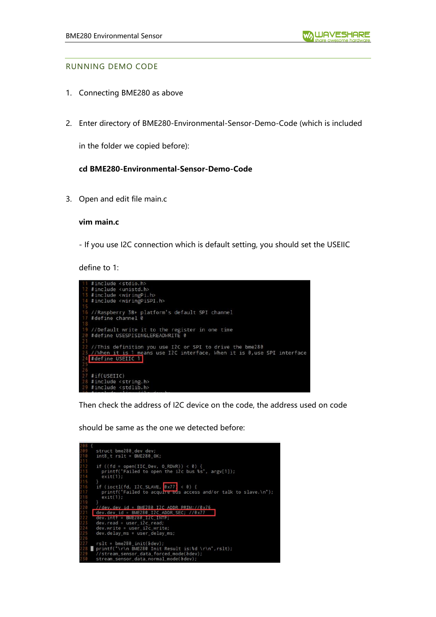#### RUNNING DEMO CODE

- 1. Connecting BME280 as above
- 2. Enter directory of BME280-Environmental-Sensor-Demo-Code (which is included

in the folder we copied before):

#### **cd BME280-Environmental-Sensor-Demo-Code**

3. Open and edit file main.c

#### **vim main.c**

- If you use I2C connection which is default setting, you should set the USEIIC

define to 1:



Then check the address of I2C device on the code, the address used on code

should be same as the one we detected before:

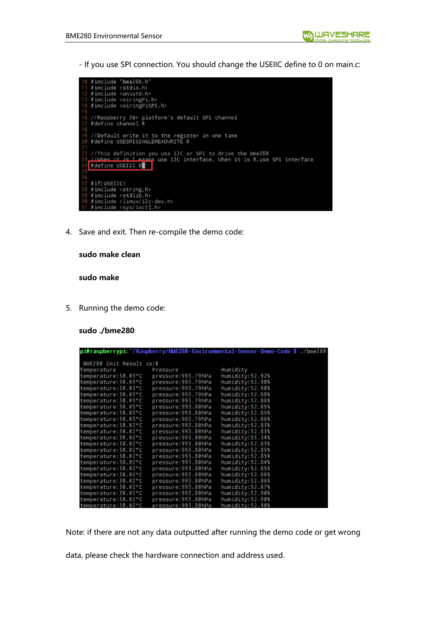- If you use SPI connection. You should change the USEIIC define to 0 on main.c:



4. Save and exit. Then re-compile the demo code:

#### **sudo make clean**

#### **sudo make**

5. Running the demo code:

#### **sudo ./bme280**

|                         |                     | pi@raspberrypi: "/Raspberry/BME280-Environmental-Sensor-Demo-Code \$./bme280 |  |
|-------------------------|---------------------|------------------------------------------------------------------------------|--|
| BME280 Init Result is:0 |                     |                                                                              |  |
| Temperature             | Pressure            | Humidity                                                                     |  |
| temperature: 30.03*C    | pressure: 993.79hPa | humidity:52.92%                                                              |  |
| temperature: 30.03*C    | pressure: 993.79hPa | humidity:52.90%                                                              |  |
| temperature: 30.03*C    | pressure: 993.79hPa | humidity:52.90%                                                              |  |
| temperature: 30.03*C    | pressure: 993.79hPa | humidity:52.88%                                                              |  |
| temperature: 30.03*C    | pressure: 993.79hPa | humidity:52.86%                                                              |  |
| temperature: 30.03*C    | pressure: 993.80hPa | humidity:52.85%                                                              |  |
| temperature: 30.03*C    | pressure: 993.80hPa | humidity:52.85%                                                              |  |
| temperature: 30.03*C    | pressure: 993.79hPa | humidity:52.86%                                                              |  |
| temperature: 30.02*C    | pressure: 993.80hPa | humidity:52.83%                                                              |  |
| temperature: 30.02*C    | pressure: 993.80hPa | humidity:52.83%                                                              |  |
| temperature: 30.02*C    | pressure: 993.80hPa | humidity:53.34%                                                              |  |
| temperature: 30.02*C    | pressure: 993.80hPa | humidity:52.83%                                                              |  |
| temperature: 30.02*C    | pressure: 993.80hPa | humidity:52.85%                                                              |  |
| temperature: 30.02*C    | pressure: 993.80hPa | humidity:52.85%                                                              |  |
| temperature: 30.02*C    | pressure: 993.80hPa | humidity:52.84%                                                              |  |
| temperature: 30.02*C    | pressure: 993.80hPa | humidity:52.85%                                                              |  |
| temperature: 30.02*C    | pressure: 993.80hPa | humidity:52.86%                                                              |  |
| temperature: 30.02*C    | pressure: 993.80hPa | humidity:52.86%                                                              |  |
| temperature: 30.02*C    | pressure: 993.80hPa | humidity:52.87%                                                              |  |
| temperature: 30.02*C    | pressure: 993.80hPa | humidity:52.90%                                                              |  |
| temperature: 30.02*C    | pressure: 993.80hPa | humidity:52.90%                                                              |  |
| temperature: 30.02*C    | pressure:993.80hPa  | humidity:52.90%                                                              |  |

Note: if there are not any data outputted after running the demo code or get wrong

data, please check the hardware connection and address used.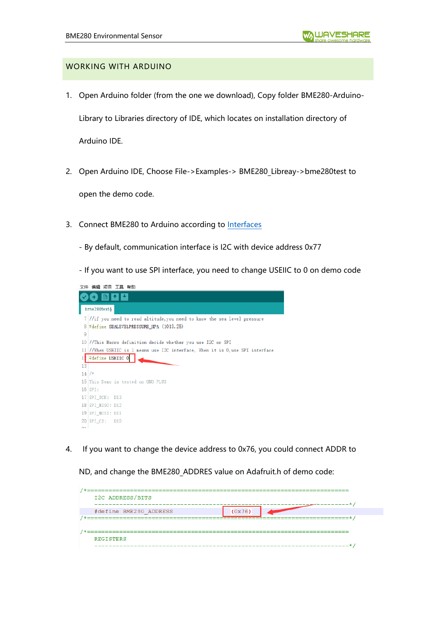## WORKING WITH ARDUINO

- 1. Open Arduino folder (from the one we download), Copy folder BME280-Arduino-Library to Libraries directory of IDE, which locates on installation directory of Arduino IDE.
- 2. Open Arduino IDE, Choose File->Examples-> BME280\_Libreay->bme280test to

open the demo code.

- 3. Connect BME280 to Arduino according to [Interfaces](#page-1-0)
	- By default, communication interface is I2C with device address 0x77

- If you want to use SPI interface, you need to change USEIIC to 0 on demo code



4. If you want to change the device address to 0x76, you could connect ADDR to

ND, and change the BME280\_ADDRES value on Adafruit.h of demo code:

| I2C ADDRESS/BITS       |        |
|------------------------|--------|
| #define BME280 ADDRESS | (0x76) |
|                        |        |
| <b>REGISTERS</b>       |        |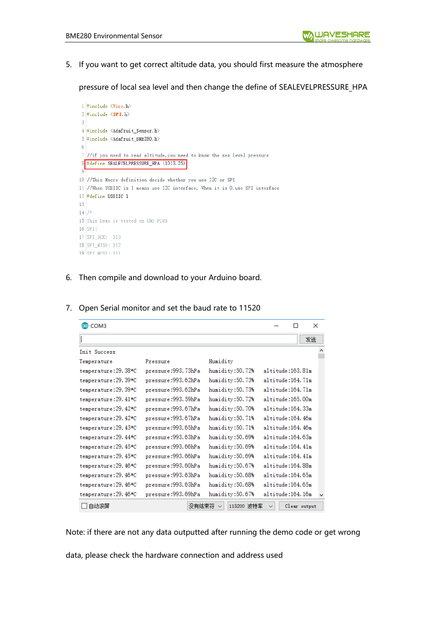5. If you want to get correct altitude data, you should first measure the atmosphere

pressure of local sea level and then change the define of SEALEVELPRESSURE\_HPA



6. Then compile and download to your Arduino board.

| @ COM3                |                      |                 |                  |              | ×  |
|-----------------------|----------------------|-----------------|------------------|--------------|----|
|                       |                      |                 |                  |              | 发送 |
| Init Success          |                      |                 |                  |              |    |
| Temperature           | Pressure             | Humidity        |                  |              |    |
| temperature: 29. 38*C | pressure:993.73hPa   | humidity:50.72% | altitude:163.81m |              |    |
| temperature: 29.39*C  | pressure:993.62hPa   | humidity:50.73% | altitude:164.71m |              |    |
| temperature: 29. 39*C | pressure:993.62hPa   | humidity:50.73% | altitude:164.71m |              |    |
| temperature: 29.41*C  | pressure:993.59hPa   | humidity:50.72% | altitude:165.00m |              |    |
| temperature: 29.42*C  | pressure:993.67hPa   | humidity:50.70% | altitude:164.33m |              |    |
| temperature: 29. 42*C | pressure:993.67hPa   | humidity:50.71% | altitude:164.46m |              |    |
| temperature: 29.43*C  | pressure: 993. 65hPa | humidity:50.71% | altitude:164.46m |              |    |
| temperature: 29.44*C  | pressure:993.63hPa   | humidity:50.69% | altitude:164.63m |              |    |
| temperature: 29. 45*C | pressure:993.66hPa   | humidity:50.69% | altitude:164.41m |              |    |
| temperature: 29. 45*C | pressure:993.66hPa   | humidity:50.69% | altitude:164.41m |              |    |
| temperature: 29. 46*C | pressure: 993.60hPa  | humidity:50.67% | altitude:164.88m |              |    |
| temperature: 29. 46*C | pressure:993.63hPa   | humidity:50.68% | altitude:164.65m |              |    |
| temperature: 29. 46*C | pressure:993.63hPa   | humidity:50.68% | altitude:164.65m |              |    |
| temperature: 29. 46*C | pressure:993.69hPa   | humidity:50.67% | altitude:164.16m |              |    |
| □自动滚屏                 | 没有结束符                | 115200 波特率      |                  | Clear output |    |

7. Open Serial monitor and set the baud rate to 11520

Note: if there are not any data outputted after running the demo code or get wrong

data, please check the hardware connection and address used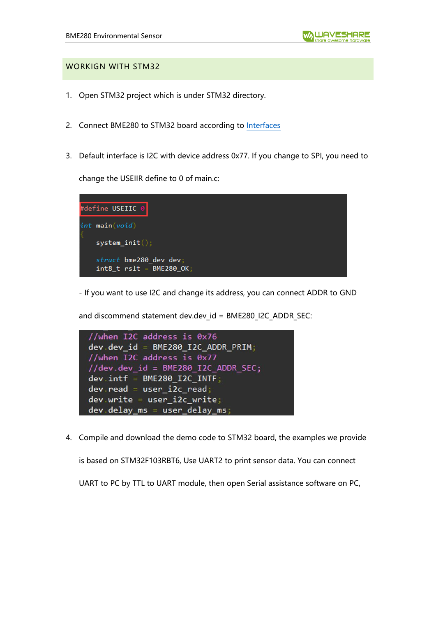## WORKIGN WITH STM32

- 1. Open STM32 project which is under STM32 directory.
- 2. Connect BME280 to STM32 board according to [Interfaces](#page-1-0)
- 3. Default interface is I2C with device address 0x77. If you change to SPI, you need to

change the USEIIR define to 0 of main.c:



- If you want to use I2C and change its address, you can connect ADDR to GND

and discommend statement dev.dev id = BME280 I2C ADDR SEC:



4. Compile and download the demo code to STM32 board, the examples we provide is based on STM32F103RBT6, Use UART2 to print sensor data. You can connect

UART to PC by TTL to UART module, then open Serial assistance software on PC,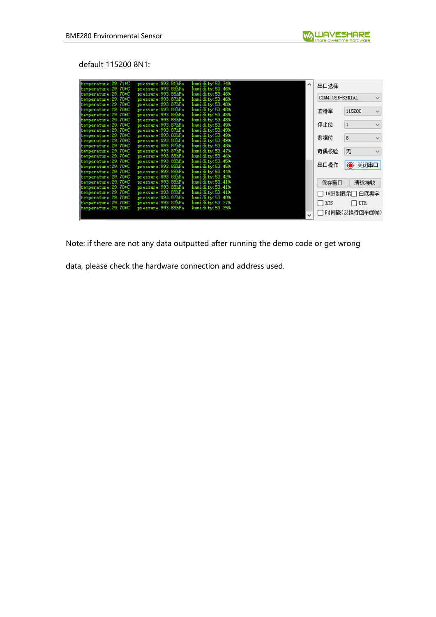default 115200 8N1:

| temperature: 29, 71*C                          | pressure:993.91hPa                           | humidity: 52.74%                    | $\hat{\phantom{1}}$ | 串口选择             |              |              |
|------------------------------------------------|----------------------------------------------|-------------------------------------|---------------------|------------------|--------------|--------------|
| temperature: 29.70*C                           | pressure: 993, 88hPa                         | humidity: 53.46%                    |                     |                  |              |              |
| temperature: 29, 70*C                          | pressure: 993, 88hPa                         | humidity:53.46%                     |                     | COM4: USB-SERIAL |              | $\checkmark$ |
| temperature: 29.70*C                           | pressure: 993, 87hPa                         | humidity:53.46%                     |                     |                  |              |              |
| temperature: 29.70*C                           | pressure: 993. 87hPa                         | humidity:53.48%                     |                     |                  |              |              |
| temperature: 29.70*C                           | pressure: 993, 88hPa                         | humidity:53.48%                     |                     | 波特率              | 115200       | $\checkmark$ |
| temperature: 29.70*C                           | pressure:993.88hPa                           | humidity:53.48%                     |                     |                  |              |              |
| temperature: 29.70*C                           | pressure:993.88hPa                           | humidity:53.48%                     |                     | 停止位              | $\mathbf{1}$ | $\checkmark$ |
| temperature: 29.70*C                           | pressure: 993, 87hPa                         | humidity: 53.49%                    |                     |                  |              |              |
| temperature: 29, 70*C                          | pressure:993.87hPa                           | humidity: 53.49%                    |                     |                  |              |              |
| temperature: 29.70*C                           | pressure: 993, 88hPa                         | humidity: 53.49%                    |                     | 数据位              | 8            | $\checkmark$ |
| temperature: 29.70*C                           | pressure: 993, 88hPa                         | humidity: 53.49%                    |                     |                  |              |              |
| temperature: 29.70*C                           | pressure: 993, 87hPa                         | humidity:53.48%                     |                     |                  |              |              |
| temperature: 29, 70*C                          | pressure: 993, 87hPa                         | humidity:53.47%                     |                     | 奇偶校验             | 无            | $\checkmark$ |
| temperature: 29.70*C                           | pressure: 993. 88hPa<br>pressure: 993, 88hPa | humidity: 53.46%                    |                     |                  |              |              |
| temperature: 29.70*C                           | pressure: 993, 88hPa                         | humidity: 53.45%<br>humidity:53.45% |                     | 串口操作             | ● 关闭串口       |              |
| temperature: 29.70*C                           | pressure: 993, 88hPa                         | humidity: 53.44%                    |                     |                  |              |              |
| temperature: 29, 70*C                          | pressure: 993, 88hPa                         | humidity: 53.42%                    |                     |                  |              |              |
| temperature: 29, 70*C<br>temperature: 29.70*C  | pressure: 993. 88hPa                         | humidity:53.41%                     |                     |                  |              |              |
| temperature: 29.70*C                           | pressure:993.88hPa                           | humidity:53.41%                     |                     | 保存窗口             | 清除接收         |              |
| temperature: 29.70*C                           | pressure:993.88hPa                           | humidity: 53.41%                    |                     |                  |              |              |
|                                                | pressure: 993. 87hPa                         | humidity: 53.40%                    |                     | □ 16进制显示□ 白底黑字   |              |              |
| temperature: 29.70*C                           | pressure:993.87hPa                           | humidity:53.37%                     |                     |                  |              |              |
| temperature: 29, 70*C<br>temperature: 29, 70*C | pressure: 993, 88hPa                         | humidity:53.35%                     |                     | $\Box$ RTS       | $\Box$ dtr   |              |
|                                                |                                              |                                     |                     |                  | 时间戳(以换行回车断帧) |              |
|                                                |                                              |                                     | $\checkmark$        |                  |              |              |
|                                                |                                              |                                     |                     |                  |              |              |

Note: if there are not any data outputted after running the demo code or get wrong

data, please check the hardware connection and address used.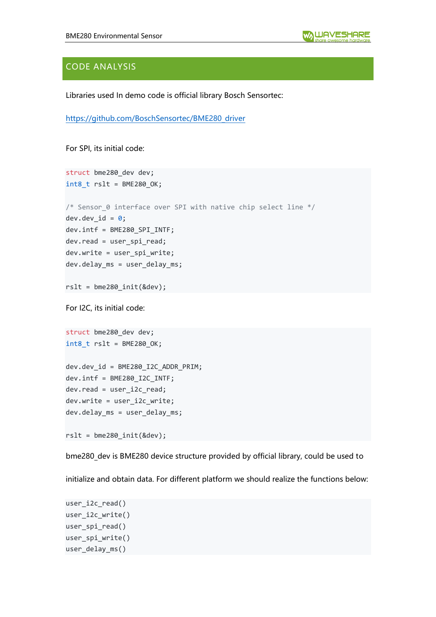# CODE ANALYSIS

Libraries used In demo code is official library Bosch Sensortec:

[https://github.com/BoschSensortec/BME280\\_driver](https://github.com/BoschSensortec/BME280_driver)

For SPI, its initial code:

```
struct bme280_dev dev;
int8_t rslt = BME280_OK;
/* Sensor 0 interface over SPI with native chip select line */dev.dev_id = 0;dev.intf = BME280_SPI_INTF;
dev.read = user_spi_read;
dev.write = user_spi_write;
dev.delay_ms = user_delay_ms;
rslt = bme280 init(&dev);
For I2C, its initial code:
struct bme280_dev dev;
int8_t rslt = BME280_OK;
dev.dev_id = BME280_I2C_ADDR_PRIM;
dev.intf = BME280_I2C_INTF;
dev.read = user_i2c_read;
dev.write = user_i2c_write;
dev.delay_ms = user_delay_ms;
```
rslt = bme280\_init(&dev);

bme280 dev is BME280 device structure provided by official library, could be used to

initialize and obtain data. For different platform we should realize the functions below:

```
user_i2c_read()
user_i2c_write()
user spi read()
user_spi_write()
user delay ms()
```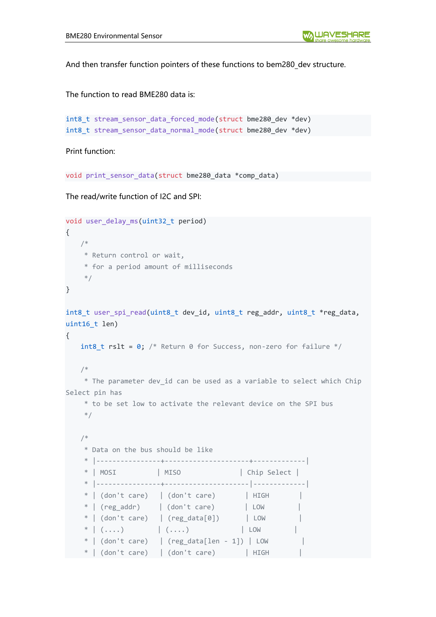And then transfer function pointers of these functions to bem280 dev structure.

The function to read BME280 data is:

```
int8 t stream sensor data_forced_mode(struct bme280_dev *dev)
int8_t stream_sensor_data_normal_mode(struct bme280_dev *dev)
```
Print function:

void print sensor data(struct bme280 data \*comp data)

The read/write function of I2C and SPI:

```
void user_delay_ms(uint32_t period)
{
    /*
     * Return control or wait,
     * for a period amount of milliseconds
     */
}
int8 t user spi read(uint8 t dev id, uint8 t reg_addr, uint8 t *reg_data,
uint16 t len)
{
   int8_t rslt = 0; /* Return 0 for Success, non-zero for failure */
    /*
     * The parameter dev_id can be used as a variable to select which Chip 
Select pin has
     * to be set low to activate the relevant device on the SPI bus
     */
    /*
     * Data on the bus should be like
     * |----------------+---------------------+-------------|
     * | MOSI | MISO | Chip Select |
     * |----------------+---------------------|-------------|
    * | (don't care) | (don't care) | HIGH
    * | (reg addr) | (don't care) | LOW
    * | (don't care) | (reg_data[0]) | LOW |
    * ( \ldots ) ( \ldots ) | ( \ldots ) | | LOW* | (don't care) | (reg_data[len - 1]) | LOW
    * | (don't care) | (don't care) | HIGH
```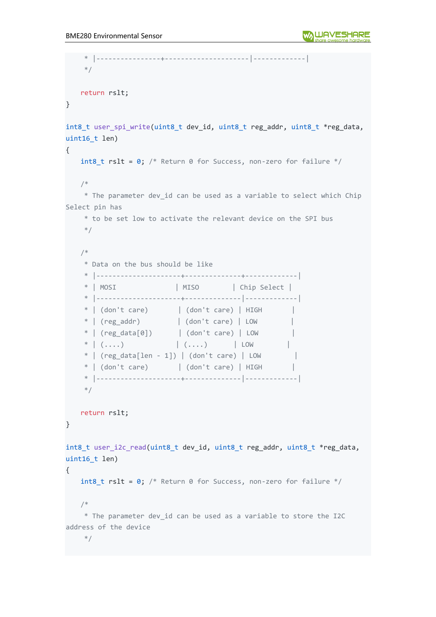```
 * |----------------+---------------------|-------------|
    */
   return rslt;
}
int8 t user spi write(uint8 t dev id, uint8 t reg addr, uint8 t *reg data,
uint16_t len)
{
   int8 t rslt = 0; /* Return 0 for Success, non-zero for failure */
    /*
    * The parameter dev_id can be used as a variable to select which Chip 
Select pin has
     * to be set low to activate the relevant device on the SPI bus
     */
    /*
     * Data on the bus should be like
     * |---------------------+--------------+-------------|
     * | MOSI | MISO | Chip Select |
     * |---------------------+--------------|-------------|
    * | (don't care) | (don't care) | HIGH |* | (reg_addr) | (don't care) | LOW |
     * | (reg_data[0]) | (don't care) | LOW |
    * | (....) | (....) | LOW |
    * | (reg data[len - 1]) | (don't care) | LOW |
    * | (don't care) | (don't care) | HIGH |
     * |---------------------+--------------|-------------|
     */
   return rslt;
}
int8_t user_i2c_read(uint8_t dev_id, uint8_t reg_addr, uint8_t *reg_data, 
uint16 t len)
{
   int8 t rslt = 0; /* Return 0 for Success, non-zero for failure */
    /*
    * The parameter dev_id can be used as a variable to store the I2C 
address of the device
   */
```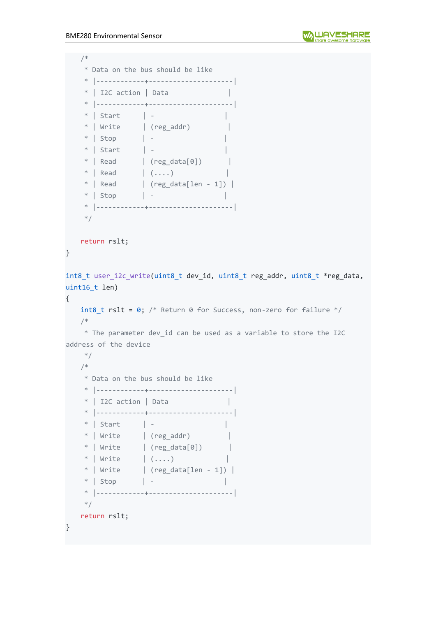```
 /*
    * Data on the bus should be like
    * |------------+---------------------|
   * | I2C action | Data | * |------------+---------------------|
    * | Start | - |
   * | Write | (reg_addr) |
   * | Stop | -<br>* | Start | - | | | |
 * | Start | - |
* | Read | (reg_data[0]) |* | Read | (....) |
   * | Read | (reg_data[len - 1]) |
    * | Stop | - |
    * |------------+---------------------|
    */
   return rslt;
}
int8_t user_i2c_write(uint8_t dev_id, uint8_t reg_addr, uint8_t *reg_data, 
uint16 t len)
{
   int8 t rslt = 0; /* Return 0 for Success, non-zero for failure */
    /*
    * The parameter dev_id can be used as a variable to store the I2C 
address of the device
    */
    /*
    * Data on the bus should be like
    * |------------+---------------------|
   * | I2C action | Data | * |------------+---------------------|
    * | Start | - |
   * | Write | (reg_addr) |* | Write | (reg\_data[0]) |* | Write | (\ldots) |
* | Write \qquad | (reg_data[len - 1]) |
 * | Stop | - |
    * |------------+---------------------|
    */
    return rslt;
}
```